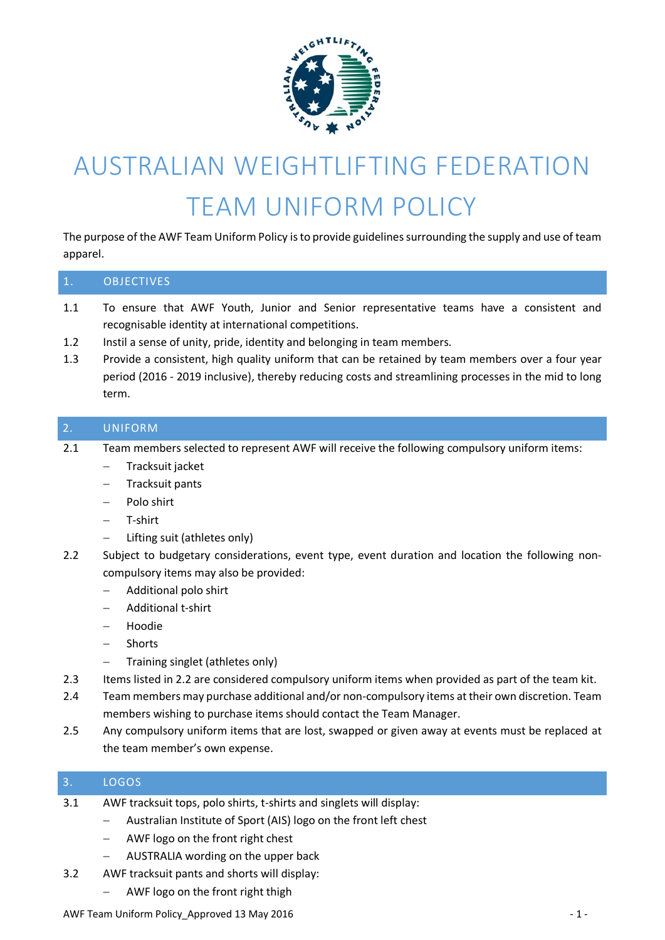

# AUSTRALIAN WEIGHTLIFTING FEDERATION TEAM UNIFORM POLICY

The purpose of the AWF Team Uniform Policy is to provide guidelines surrounding the supply and use of team apparel.

| 1.                | <b>OBJECTIVES</b>                                                                                                                                                                                                                                                                                                                                                                                                                              |
|-------------------|------------------------------------------------------------------------------------------------------------------------------------------------------------------------------------------------------------------------------------------------------------------------------------------------------------------------------------------------------------------------------------------------------------------------------------------------|
| 1.1<br>1.2<br>1.3 | To ensure that AWF Youth, Junior and Senior representative teams have a consistent and<br>recognisable identity at international competitions.<br>Instil a sense of unity, pride, identity and belonging in team members.<br>Provide a consistent, high quality uniform that can be retained by team members over a four year<br>period (2016 - 2019 inclusive), thereby reducing costs and streamlining processes in the mid to long<br>term. |
| 2.                | <b>UNIFORM</b>                                                                                                                                                                                                                                                                                                                                                                                                                                 |
| 2.1               | Team members selected to represent AWF will receive the following compulsory uniform items:<br>Tracksuit jacket<br>Tracksuit pants<br>$\qquad \qquad -$<br>Polo shirt<br>$\qquad \qquad -$<br>T-shirt<br>$\qquad \qquad -$<br>Lifting suit (athletes only)                                                                                                                                                                                     |
| 2.2               | Subject to budgetary considerations, event type, event duration and location the following non-<br>compulsory items may also be provided:<br>Additional polo shirt<br>$\qquad \qquad -$<br>Additional t-shirt<br>$\qquad \qquad -$<br>Hoodie<br>Shorts<br>$\qquad \qquad -$<br>Training singlet (athletes only)                                                                                                                                |
| 2.3               | Items listed in 2.2 are considered compulsory uniform items when provided as part of the team kit.                                                                                                                                                                                                                                                                                                                                             |
| 2.4               | Team members may purchase additional and/or non-compulsory items at their own discretion. Team<br>members wishing to purchase items should contact the Team Manager.                                                                                                                                                                                                                                                                           |
| 2.5               | Any compulsory uniform items that are lost, swapped or given away at events must be replaced at<br>the team member's own expense.                                                                                                                                                                                                                                                                                                              |
| 3.                | LOGOS                                                                                                                                                                                                                                                                                                                                                                                                                                          |
| 3.1               | AWF tracksuit tops, polo shirts, t-shirts and singlets will display:                                                                                                                                                                                                                                                                                                                                                                           |

- Australian Institute of Sport (AIS) logo on the front left chest
- AWF logo on the front right chest
- AUSTRALIA wording on the upper back
- 3.2 AWF tracksuit pants and shorts will display:
	- AWF logo on the front right thigh